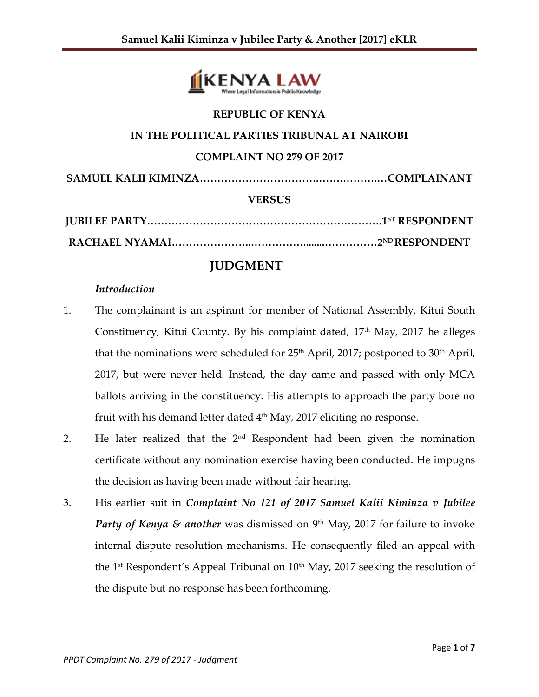

# **REPUBLIC OF KENYA**

# **IN THE POLITICAL PARTIES TRIBUNAL AT NAIROBI**

#### **COMPLAINT NO 279 OF 2017**

**SAMUEL KALII KIMINZA…………………………….…….……….…COMPLAINANT**

#### **VERSUS**

## **JUDGMENT**

#### *Introduction*

- 1. The complainant is an aspirant for member of National Assembly, Kitui South Constituency, Kitui County. By his complaint dated,  $17<sup>th</sup>$  May,  $2017$  he alleges that the nominations were scheduled for  $25<sup>th</sup>$  April,  $2017$ ; postponed to  $30<sup>th</sup>$  April, 2017, but were never held. Instead, the day came and passed with only MCA ballots arriving in the constituency. His attempts to approach the party bore no fruit with his demand letter dated  $4<sup>th</sup>$  May, 2017 eliciting no response.
- 2. He later realized that the  $2<sup>nd</sup>$  Respondent had been given the nomination certificate without any nomination exercise having been conducted. He impugns the decision as having been made without fair hearing.
- 3. His earlier suit in *Complaint No 121 of 2017 Samuel Kalii Kiminza v Jubilee Party of Kenya & another* was dismissed on 9<sup>th</sup> May, 2017 for failure to invoke internal dispute resolution mechanisms. He consequently filed an appeal with the 1<sup>st</sup> Respondent's Appeal Tribunal on 10<sup>th</sup> May, 2017 seeking the resolution of the dispute but no response has been forthcoming.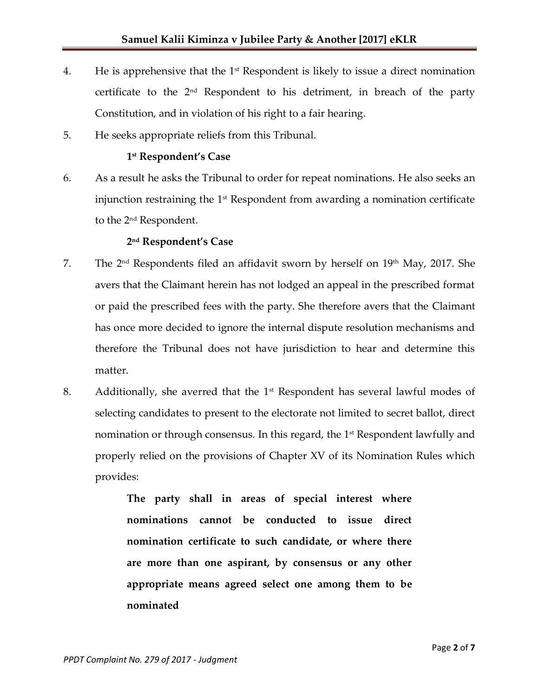- 4. He is apprehensive that the  $1<sup>st</sup>$  Respondent is likely to issue a direct nomination certificate to the  $2<sup>nd</sup>$  Respondent to his detriment, in breach of the party Constitution, and in violation of his right to a fair hearing.
- 5. He seeks appropriate reliefs from this Tribunal.

### **1 st Respondent's Case**

6. As a result he asks the Tribunal to order for repeat nominations. He also seeks an injunction restraining the  $1<sup>st</sup>$  Respondent from awarding a nomination certificate to the 2nd Respondent.

#### **2 nd Respondent's Case**

- 7. The  $2<sup>nd</sup>$  Respondents filed an affidavit sworn by herself on  $19<sup>th</sup>$  May, 2017. She avers that the Claimant herein has not lodged an appeal in the prescribed format or paid the prescribed fees with the party. She therefore avers that the Claimant has once more decided to ignore the internal dispute resolution mechanisms and therefore the Tribunal does not have jurisdiction to hear and determine this matter.
- 8. Additionally, she averred that the  $1<sup>st</sup>$  Respondent has several lawful modes of selecting candidates to present to the electorate not limited to secret ballot, direct nomination or through consensus. In this regard, the 1<sup>st</sup> Respondent lawfully and properly relied on the provisions of Chapter XV of its Nomination Rules which provides:

**The party shall in areas of special interest where nominations cannot be conducted to issue direct nomination certificate to such candidate, or where there are more than one aspirant, by consensus or any other appropriate means agreed select one among them to be nominated**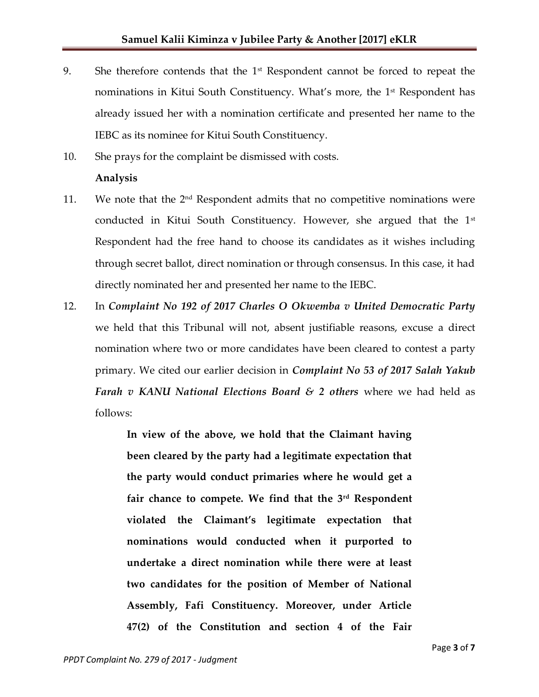- 9. She therefore contends that the  $1<sup>st</sup>$  Respondent cannot be forced to repeat the nominations in Kitui South Constituency. What's more, the 1<sup>st</sup> Respondent has already issued her with a nomination certificate and presented her name to the IEBC as its nominee for Kitui South Constituency.
- 10. She prays for the complaint be dismissed with costs.

#### **Analysis**

- 11. We note that the  $2<sup>nd</sup>$  Respondent admits that no competitive nominations were conducted in Kitui South Constituency. However, she argued that the 1<sup>st</sup> Respondent had the free hand to choose its candidates as it wishes including through secret ballot, direct nomination or through consensus. In this case, it had directly nominated her and presented her name to the IEBC.
- 12. In *Complaint No 192 of 2017 Charles O Okwemba v United Democratic Party*  we held that this Tribunal will not, absent justifiable reasons, excuse a direct nomination where two or more candidates have been cleared to contest a party primary. We cited our earlier decision in *Complaint No 53 of 2017 Salah Yakub Farah v KANU National Elections Board & 2 others* where we had held as follows:

**In view of the above, we hold that the Claimant having been cleared by the party had a legitimate expectation that the party would conduct primaries where he would get a fair chance to compete. We find that the 3rd Respondent violated the Claimant's legitimate expectation that nominations would conducted when it purported to undertake a direct nomination while there were at least two candidates for the position of Member of National Assembly, Fafi Constituency. Moreover, under Article 47(2) of the Constitution and section 4 of the Fair**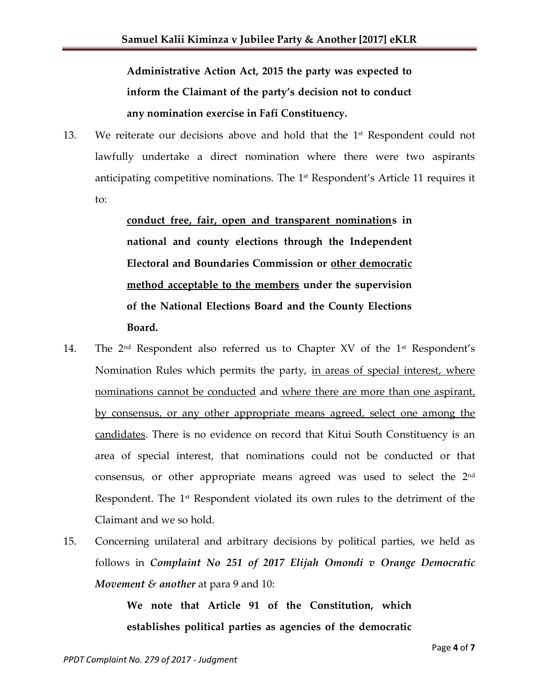**Administrative Action Act, 2015 the party was expected to inform the Claimant of the party's decision not to conduct any nomination exercise in Fafi Constituency.**

13. We reiterate our decisions above and hold that the 1<sup>st</sup> Respondent could not lawfully undertake a direct nomination where there were two aspirants anticipating competitive nominations. The 1<sup>st</sup> Respondent's Article 11 requires it to:

> **conduct free, fair, open and transparent nominations in national and county elections through the Independent Electoral and Boundaries Commission or other democratic method acceptable to the members under the supervision of the National Elections Board and the County Elections Board.**

- 14. The 2<sup>nd</sup> Respondent also referred us to Chapter XV of the 1<sup>st</sup> Respondent's Nomination Rules which permits the party, in areas of special interest, where nominations cannot be conducted and where there are more than one aspirant, by consensus, or any other appropriate means agreed, select one among the candidates. There is no evidence on record that Kitui South Constituency is an area of special interest, that nominations could not be conducted or that consensus, or other appropriate means agreed was used to select the 2nd Respondent. The 1<sup>st</sup> Respondent violated its own rules to the detriment of the Claimant and we so hold.
- 15. Concerning unilateral and arbitrary decisions by political parties, we held as follows in *Complaint No 251 of 2017 Elijah Omondi v Orange Democratic Movement & another* at para 9 and 10:

**We note that Article 91 of the Constitution, which establishes political parties as agencies of the democratic**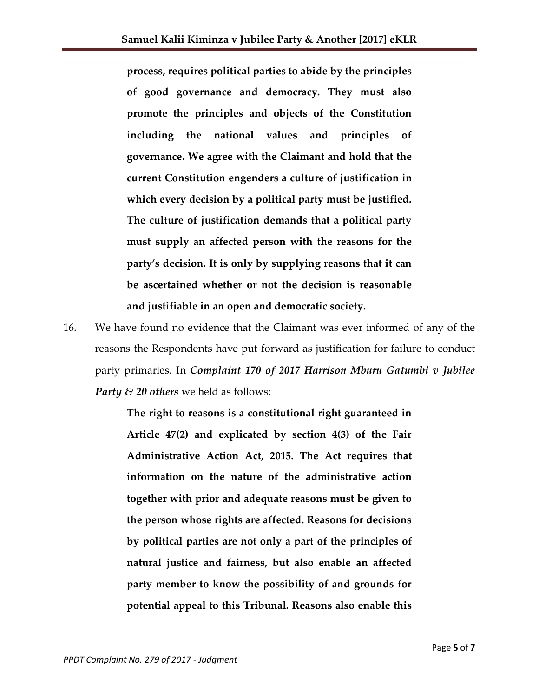**process, requires political parties to abide by the principles of good governance and democracy. They must also promote the principles and objects of the Constitution including the national values and principles of governance. We agree with the Claimant and hold that the current Constitution engenders a culture of justification in which every decision by a political party must be justified. The culture of justification demands that a political party must supply an affected person with the reasons for the party's decision. It is only by supplying reasons that it can be ascertained whether or not the decision is reasonable and justifiable in an open and democratic society.** 

16. We have found no evidence that the Claimant was ever informed of any of the reasons the Respondents have put forward as justification for failure to conduct party primaries. In *Complaint 170 of 2017 Harrison Mburu Gatumbi v Jubilee Party & 20 others* we held as follows:

> **The right to reasons is a constitutional right guaranteed in Article 47(2) and explicated by section 4(3) of the Fair Administrative Action Act, 2015. The Act requires that information on the nature of the administrative action together with prior and adequate reasons must be given to the person whose rights are affected. Reasons for decisions by political parties are not only a part of the principles of natural justice and fairness, but also enable an affected party member to know the possibility of and grounds for potential appeal to this Tribunal. Reasons also enable this**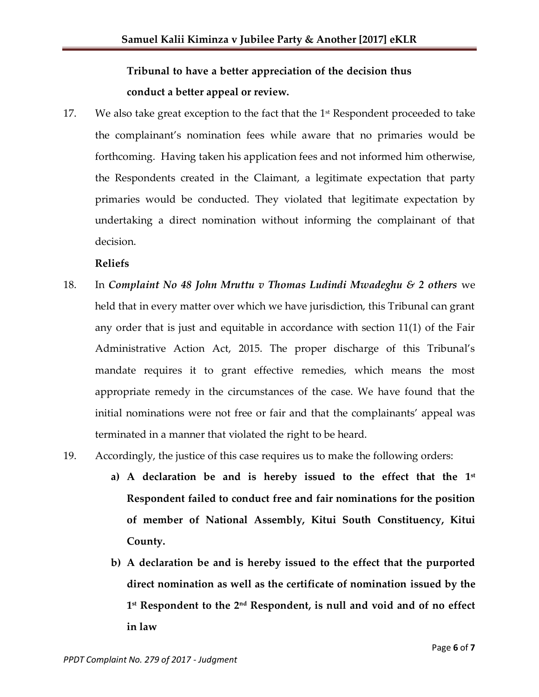# **Tribunal to have a better appreciation of the decision thus conduct a better appeal or review.**

17. We also take great exception to the fact that the  $1<sup>st</sup>$  Respondent proceeded to take the complainant's nomination fees while aware that no primaries would be forthcoming. Having taken his application fees and not informed him otherwise, the Respondents created in the Claimant, a legitimate expectation that party primaries would be conducted. They violated that legitimate expectation by undertaking a direct nomination without informing the complainant of that decision.

**Reliefs**

- 18. In *Complaint No 48 John Mruttu v Thomas Ludindi Mwadeghu & 2 others* we held that in every matter over which we have jurisdiction, this Tribunal can grant any order that is just and equitable in accordance with section 11(1) of the Fair Administrative Action Act, 2015. The proper discharge of this Tribunal's mandate requires it to grant effective remedies, which means the most appropriate remedy in the circumstances of the case. We have found that the initial nominations were not free or fair and that the complainants' appeal was terminated in a manner that violated the right to be heard.
- 19. Accordingly, the justice of this case requires us to make the following orders:
	- a) A declaration be and is hereby issued to the effect that the 1st **Respondent failed to conduct free and fair nominations for the position of member of National Assembly, Kitui South Constituency, Kitui County.**
	- **b) A declaration be and is hereby issued to the effect that the purported direct nomination as well as the certificate of nomination issued by the 1 st Respondent to the 2nd Respondent, is null and void and of no effect in law**